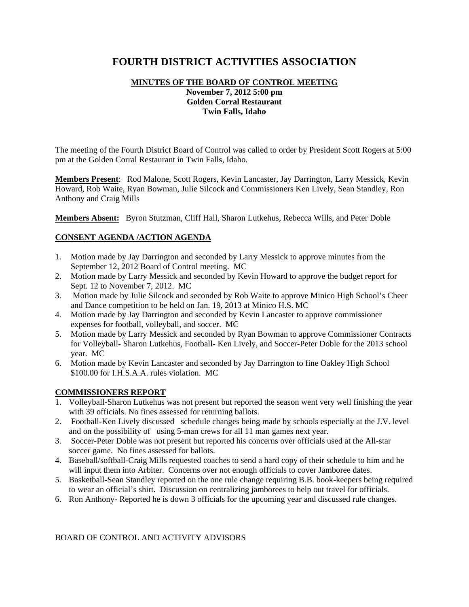# **FOURTH DISTRICT ACTIVITIES ASSOCIATION**

## **MINUTES OF THE BOARD OF CONTROL MEETING November 7, 2012 5:00 pm Golden Corral Restaurant Twin Falls, Idaho**

The meeting of the Fourth District Board of Control was called to order by President Scott Rogers at 5:00 pm at the Golden Corral Restaurant in Twin Falls, Idaho.

**Members Present**: Rod Malone, Scott Rogers, Kevin Lancaster, Jay Darrington, Larry Messick, Kevin Howard, Rob Waite, Ryan Bowman, Julie Silcock and Commissioners Ken Lively, Sean Standley, Ron Anthony and Craig Mills

**Members Absent:** Byron Stutzman, Cliff Hall, Sharon Lutkehus, Rebecca Wills, and Peter Doble

## **CONSENT AGENDA /ACTION AGENDA**

- 1. Motion made by Jay Darrington and seconded by Larry Messick to approve minutes from the September 12, 2012 Board of Control meeting. MC
- 2. Motion made by Larry Messick and seconded by Kevin Howard to approve the budget report for Sept. 12 to November 7, 2012. MC
- 3. Motion made by Julie Silcock and seconded by Rob Waite to approve Minico High School's Cheer and Dance competition to be held on Jan. 19, 2013 at Minico H.S. MC
- 4. Motion made by Jay Darrington and seconded by Kevin Lancaster to approve commissioner expenses for football, volleyball, and soccer. MC
- 5. Motion made by Larry Messick and seconded by Ryan Bowman to approve Commissioner Contracts for Volleyball- Sharon Lutkehus, Football- Ken Lively, and Soccer-Peter Doble for the 2013 school year. MC
- 6. Motion made by Kevin Lancaster and seconded by Jay Darrington to fine Oakley High School \$100.00 for I.H.S.A.A. rules violation. MC

#### **COMMISSIONERS REPORT**

- 1. Volleyball-Sharon Lutkehus was not present but reported the season went very well finishing the year with 39 officials. No fines assessed for returning ballots.
- 2. Football-Ken Lively discussed schedule changes being made by schools especially at the J.V. level and on the possibility of using 5-man crews for all 11 man games next year.
- 3. Soccer-Peter Doble was not present but reported his concerns over officials used at the All-star soccer game. No fines assessed for ballots.
- 4. Baseball/softball-Craig Mills requested coaches to send a hard copy of their schedule to him and he will input them into Arbiter. Concerns over not enough officials to cover Jamboree dates.
- 5. Basketball-Sean Standley reported on the one rule change requiring B.B. book-keepers being required to wear an official's shirt. Discussion on centralizing jamborees to help out travel for officials.
- 6. Ron Anthony- Reported he is down 3 officials for the upcoming year and discussed rule changes.

## BOARD OF CONTROL AND ACTIVITY ADVISORS